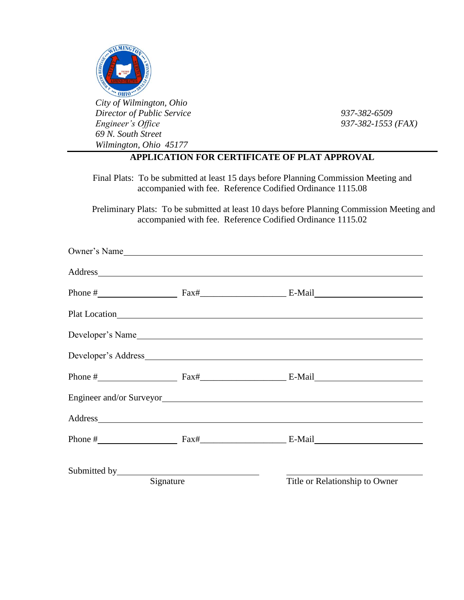

*City of Wilmington, Ohio Director of Public Service 937-382-6509 Engineer's Office 937-382-1553 (FAX) 69 N. South Street Wilmington, Ohio 45177*

## **APPLICATION FOR CERTIFICATE OF PLAT APPROVAL**

Final Plats: To be submitted at least 15 days before Planning Commission Meeting and accompanied with fee. Reference Codified Ordinance 1115.08

 Preliminary Plats: To be submitted at least 10 days before Planning Commission Meeting and accompanied with fee. Reference Codified Ordinance 1115.02

|           | Owner's Name                                                                                                                                                                                                                   |                                                                                                                                                                                                                                                                                                                                          |  |
|-----------|--------------------------------------------------------------------------------------------------------------------------------------------------------------------------------------------------------------------------------|------------------------------------------------------------------------------------------------------------------------------------------------------------------------------------------------------------------------------------------------------------------------------------------------------------------------------------------|--|
|           | Address and the contract of the contract of the contract of the contract of the contract of the contract of the contract of the contract of the contract of the contract of the contract of the contract of the contract of th |                                                                                                                                                                                                                                                                                                                                          |  |
|           |                                                                                                                                                                                                                                |                                                                                                                                                                                                                                                                                                                                          |  |
|           |                                                                                                                                                                                                                                | Plat Location expansion and the set of the set of the set of the set of the set of the set of the set of the set of the set of the set of the set of the set of the set of the set of the set of the set of the set of the set                                                                                                           |  |
|           |                                                                                                                                                                                                                                | Developer's Name                                                                                                                                                                                                                                                                                                                         |  |
|           |                                                                                                                                                                                                                                |                                                                                                                                                                                                                                                                                                                                          |  |
|           |                                                                                                                                                                                                                                | Phone $\#$ Fax $\#$ Fax $\#$ Fax $\#$ E-Mail                                                                                                                                                                                                                                                                                             |  |
|           |                                                                                                                                                                                                                                | Engineer and/or Surveyor                                                                                                                                                                                                                                                                                                                 |  |
|           |                                                                                                                                                                                                                                | Address and the contract of the contract of the contract of the contract of the contract of the contract of the contract of the contract of the contract of the contract of the contract of the contract of the contract of th                                                                                                           |  |
|           |                                                                                                                                                                                                                                | Phone $\#$ $\qquad \qquad$ $\qquad$ $\qquad$ $\qquad$ $\qquad$ $\qquad$ $\qquad$ $\qquad$ $\qquad$ $\qquad$ $\qquad$ $\qquad$ $\qquad$ $\qquad$ $\qquad$ $\qquad$ $\qquad$ $\qquad$ $\qquad$ $\qquad$ $\qquad$ $\qquad$ $\qquad$ $\qquad$ $\qquad$ $\qquad$ $\qquad$ $\qquad$ $\qquad$ $\qquad$ $\qquad$ $\qquad$ $\qquad$ $\qquad$ $\q$ |  |
|           |                                                                                                                                                                                                                                |                                                                                                                                                                                                                                                                                                                                          |  |
| Signature |                                                                                                                                                                                                                                | Title or Relationship to Owner                                                                                                                                                                                                                                                                                                           |  |
|           |                                                                                                                                                                                                                                |                                                                                                                                                                                                                                                                                                                                          |  |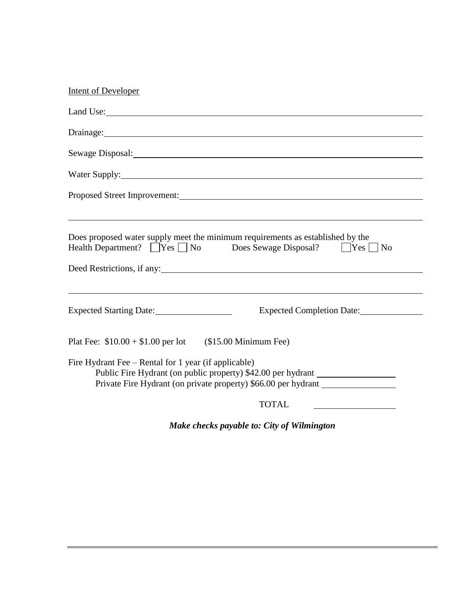| <b>Intent of Developer</b>                                                                                                                                                                                                           |
|--------------------------------------------------------------------------------------------------------------------------------------------------------------------------------------------------------------------------------------|
|                                                                                                                                                                                                                                      |
| Drainage: <u>the contract of the contract of the contract of the contract of the contract of the contract of the contract of the contract of the contract of the contract of the contract of the contract of the contract of the</u> |
|                                                                                                                                                                                                                                      |
|                                                                                                                                                                                                                                      |
|                                                                                                                                                                                                                                      |
| Does proposed water supply meet the minimum requirements as established by the<br>Health Department? Ves No Does Sewage Disposal? Yes No<br>Deed Restrictions, if any:                                                               |
| Expected Completion Date:                                                                                                                                                                                                            |
| Plat Fee: $$10.00 + $1.00$ per lot (\$15.00 Minimum Fee)                                                                                                                                                                             |
| Fire Hydrant Fee - Rental for 1 year (if applicable)<br>Public Fire Hydrant (on public property) \$42.00 per hydrant<br>Private Fire Hydrant (on private property) \$66.00 per hydrant __________________                            |
| <b>TOTAL</b>                                                                                                                                                                                                                         |

*Make checks payable to: City of Wilmington*